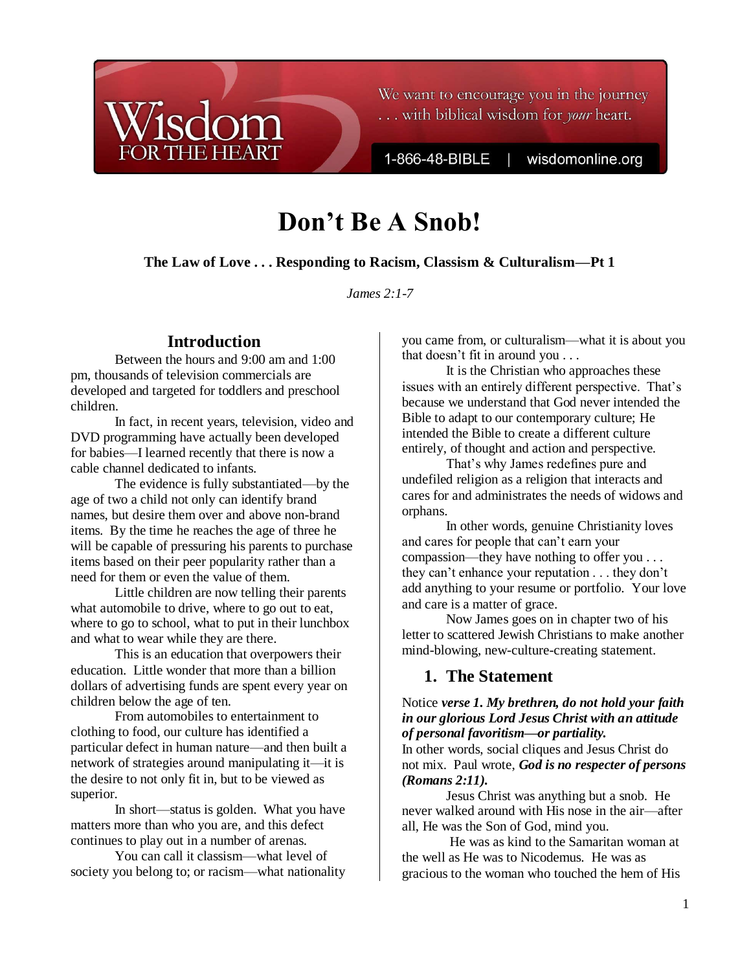

We want to encourage you in the journey ... with biblical wisdom for your heart.

1-866-48-BIBLE

wisdomonline.org

# **Don't Be A Snob!**

**The Law of Love . . . Responding to Racism, Classism & Culturalism—Pt 1**

*James 2:1-7*

# **Introduction**

Between the hours and 9:00 am and 1:00 pm, thousands of television commercials are developed and targeted for toddlers and preschool children.

In fact, in recent years, television, video and DVD programming have actually been developed for babies—I learned recently that there is now a cable channel dedicated to infants.

The evidence is fully substantiated—by the age of two a child not only can identify brand names, but desire them over and above non-brand items. By the time he reaches the age of three he will be capable of pressuring his parents to purchase items based on their peer popularity rather than a need for them or even the value of them.

Little children are now telling their parents what automobile to drive, where to go out to eat, where to go to school, what to put in their lunchbox and what to wear while they are there.

This is an education that overpowers their education. Little wonder that more than a billion dollars of advertising funds are spent every year on children below the age of ten.

From automobiles to entertainment to clothing to food, our culture has identified a particular defect in human nature—and then built a network of strategies around manipulating it—it is the desire to not only fit in, but to be viewed as superior.

In short—status is golden. What you have matters more than who you are, and this defect continues to play out in a number of arenas.

You can call it classism—what level of society you belong to; or racism—what nationality you came from, or culturalism—what it is about you that doesn"t fit in around you . . .

It is the Christian who approaches these issues with an entirely different perspective. That's because we understand that God never intended the Bible to adapt to our contemporary culture; He intended the Bible to create a different culture entirely, of thought and action and perspective.

That's why James redefines pure and undefiled religion as a religion that interacts and cares for and administrates the needs of widows and orphans.

In other words, genuine Christianity loves and cares for people that can"t earn your compassion—they have nothing to offer you . . . they can"t enhance your reputation . . . they don"t add anything to your resume or portfolio. Your love and care is a matter of grace.

Now James goes on in chapter two of his letter to scattered Jewish Christians to make another mind-blowing, new-culture-creating statement.

# **1. The Statement**

# Notice *verse 1. My brethren, do not hold your faith in our glorious Lord Jesus Christ with an attitude of personal favoritism—or partiality.*

In other words, social cliques and Jesus Christ do not mix. Paul wrote, *God is no respecter of persons (Romans 2:11).*

Jesus Christ was anything but a snob. He never walked around with His nose in the air—after all, He was the Son of God, mind you.

He was as kind to the Samaritan woman at the well as He was to Nicodemus. He was as gracious to the woman who touched the hem of His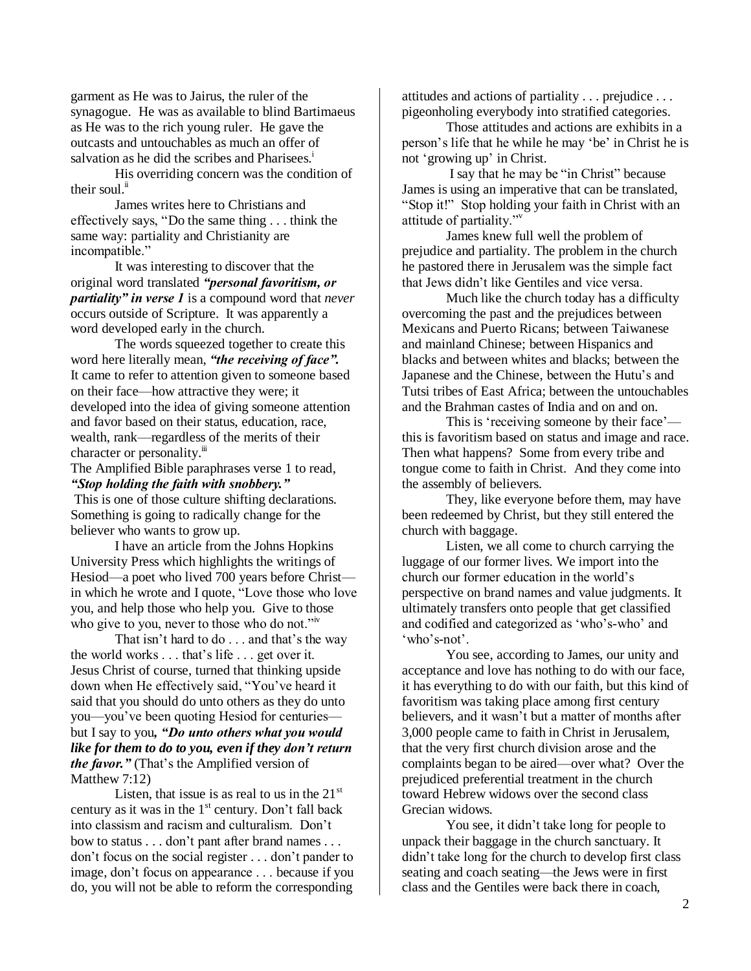garment as He was to Jairus, the ruler of the synagogue. He was as available to blind Bartimaeus as He was to the rich young ruler. He gave the outcasts and untouchables as much an offer of salvation as he did the scribes and Pharisees.<sup>i</sup>

His overriding concern was the condition of their soul.<sup>ii</sup>

James writes here to Christians and effectively says, "Do the same thing . . . think the same way: partiality and Christianity are incompatible."

It was interesting to discover that the original word translated *"personal favoritism, or partiality" in verse 1* is a compound word that *never* occurs outside of Scripture. It was apparently a word developed early in the church.

The words squeezed together to create this word here literally mean, *"the receiving of face".* It came to refer to attention given to someone based on their face—how attractive they were; it developed into the idea of giving someone attention and favor based on their status, education, race, wealth, rank—regardless of the merits of their character or personality.<sup>iii</sup>

The Amplified Bible paraphrases verse 1 to read, *"Stop holding the faith with snobbery."*

This is one of those culture shifting declarations. Something is going to radically change for the believer who wants to grow up.

I have an article from the Johns Hopkins University Press which highlights the writings of Hesiod—a poet who lived 700 years before Christ in which he wrote and I quote, "Love those who love you, and help those who help you. Give to those who give to you, never to those who do not."<sup>iv</sup>

That isn't hard to do . . . and that's the way the world works . . . that"s life . . . get over it. Jesus Christ of course, turned that thinking upside down when He effectively said, "You"ve heard it said that you should do unto others as they do unto you—you"ve been quoting Hesiod for centuries but I say to you*, "Do unto others what you would like for them to do to you, even if they don't return the favor.*" (That's the Amplified version of Matthew 7:12)

Listen, that issue is as real to us in the  $21<sup>st</sup>$ century as it was in the  $1<sup>st</sup>$  century. Don't fall back into classism and racism and culturalism. Don"t bow to status . . . don"t pant after brand names . . . don"t focus on the social register . . . don"t pander to image, don"t focus on appearance . . . because if you do, you will not be able to reform the corresponding

attitudes and actions of partiality . . . prejudice . . . pigeonholing everybody into stratified categories.

Those attitudes and actions are exhibits in a person"s life that he while he may "be" in Christ he is not 'growing up' in Christ.

I say that he may be "in Christ" because James is using an imperative that can be translated, "Stop it!" Stop holding your faith in Christ with an attitude of partiality."<sup>v</sup>

James knew full well the problem of prejudice and partiality. The problem in the church he pastored there in Jerusalem was the simple fact that Jews didn"t like Gentiles and vice versa.

Much like the church today has a difficulty overcoming the past and the prejudices between Mexicans and Puerto Ricans; between Taiwanese and mainland Chinese; between Hispanics and blacks and between whites and blacks; between the Japanese and the Chinese, between the Hutu's and Tutsi tribes of East Africa; between the untouchables and the Brahman castes of India and on and on.

This is 'receiving someone by their face' this is favoritism based on status and image and race. Then what happens? Some from every tribe and tongue come to faith in Christ. And they come into the assembly of believers.

They, like everyone before them, may have been redeemed by Christ, but they still entered the church with baggage.

Listen, we all come to church carrying the luggage of our former lives. We import into the church our former education in the world"s perspective on brand names and value judgments. It ultimately transfers onto people that get classified and codified and categorized as "who"s-who" and 'who's-not'.

You see, according to James, our unity and acceptance and love has nothing to do with our face, it has everything to do with our faith, but this kind of favoritism was taking place among first century believers, and it wasn"t but a matter of months after 3,000 people came to faith in Christ in Jerusalem, that the very first church division arose and the complaints began to be aired—over what? Over the prejudiced preferential treatment in the church toward Hebrew widows over the second class Grecian widows.

You see, it didn"t take long for people to unpack their baggage in the church sanctuary. It didn"t take long for the church to develop first class seating and coach seating—the Jews were in first class and the Gentiles were back there in coach,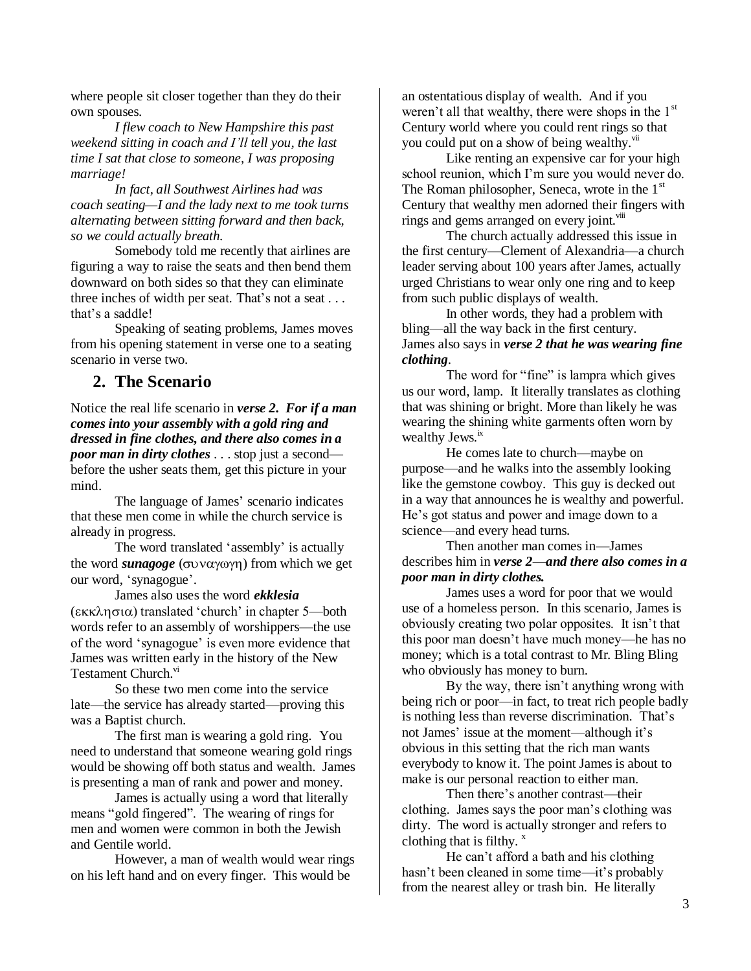where people sit closer together than they do their own spouses.

*I flew coach to New Hampshire this past weekend sitting in coach and I'll tell you, the last time I sat that close to someone, I was proposing marriage!*

*In fact, all Southwest Airlines had was coach seating—I and the lady next to me took turns alternating between sitting forward and then back, so we could actually breath.* 

Somebody told me recently that airlines are figuring a way to raise the seats and then bend them downward on both sides so that they can eliminate three inches of width per seat. That's not a seat . . . that's a saddle!

Speaking of seating problems, James moves from his opening statement in verse one to a seating scenario in verse two.

# **2. The Scenario**

Notice the real life scenario in *verse 2. For if a man comes into your assembly with a gold ring and dressed in fine clothes, and there also comes in a poor man in dirty clothes* . . . stop just a second before the usher seats them, get this picture in your mind.

The language of James' scenario indicates that these men come in while the church service is already in progress.

The word translated 'assembly' is actually the word *sunagoge* ( $\sigma$ *v* $\alpha$  $\gamma$  $\omega$  $\gamma$  $\eta$ ) from which we get our word, "synagogue".

James also uses the word *ekklesia*  $(\epsilon \kappa \lambda \eta \sigma \iota \alpha)$  translated 'church' in chapter 5—both words refer to an assembly of worshippers—the use of the word "synagogue" is even more evidence that James was written early in the history of the New Testament Church.<sup>vi</sup>

So these two men come into the service late—the service has already started—proving this was a Baptist church.

The first man is wearing a gold ring. You need to understand that someone wearing gold rings would be showing off both status and wealth. James is presenting a man of rank and power and money.

James is actually using a word that literally means "gold fingered". The wearing of rings for men and women were common in both the Jewish and Gentile world.

However, a man of wealth would wear rings on his left hand and on every finger. This would be

an ostentatious display of wealth. And if you weren't all that wealthy, there were shops in the 1<sup>st</sup> Century world where you could rent rings so that you could put on a show of being wealthy.<sup>vii</sup>

Like renting an expensive car for your high school reunion, which I"m sure you would never do. The Roman philosopher, Seneca, wrote in the  $1<sup>st</sup>$ Century that wealthy men adorned their fingers with rings and gems arranged on every joint. $\frac{v}{u}$ 

The church actually addressed this issue in the first century—Clement of Alexandria—a church leader serving about 100 years after James, actually urged Christians to wear only one ring and to keep from such public displays of wealth.

In other words, they had a problem with bling—all the way back in the first century. James also says in *verse 2 that he was wearing fine clothing*.

The word for "fine" is lampra which gives us our word, lamp. It literally translates as clothing that was shining or bright. More than likely he was wearing the shining white garments often worn by wealthy Jews.<sup>ix</sup>

He comes late to church—maybe on purpose—and he walks into the assembly looking like the gemstone cowboy. This guy is decked out in a way that announces he is wealthy and powerful. He"s got status and power and image down to a science—and every head turns.

Then another man comes in—James describes him in *verse 2—and there also comes in a poor man in dirty clothes.*

James uses a word for poor that we would use of a homeless person. In this scenario, James is obviously creating two polar opposites. It isn"t that this poor man doesn"t have much money—he has no money; which is a total contrast to Mr. Bling Bling who obviously has money to burn.

By the way, there isn't anything wrong with being rich or poor—in fact, to treat rich people badly is nothing less than reverse discrimination. That's not James' issue at the moment—although it's obvious in this setting that the rich man wants everybody to know it. The point James is about to make is our personal reaction to either man.

Then there's another contrast—their clothing. James says the poor man"s clothing was dirty. The word is actually stronger and refers to clothing that is filthy. $x^x$ 

He can"t afford a bath and his clothing hasn't been cleaned in some time—it's probably from the nearest alley or trash bin. He literally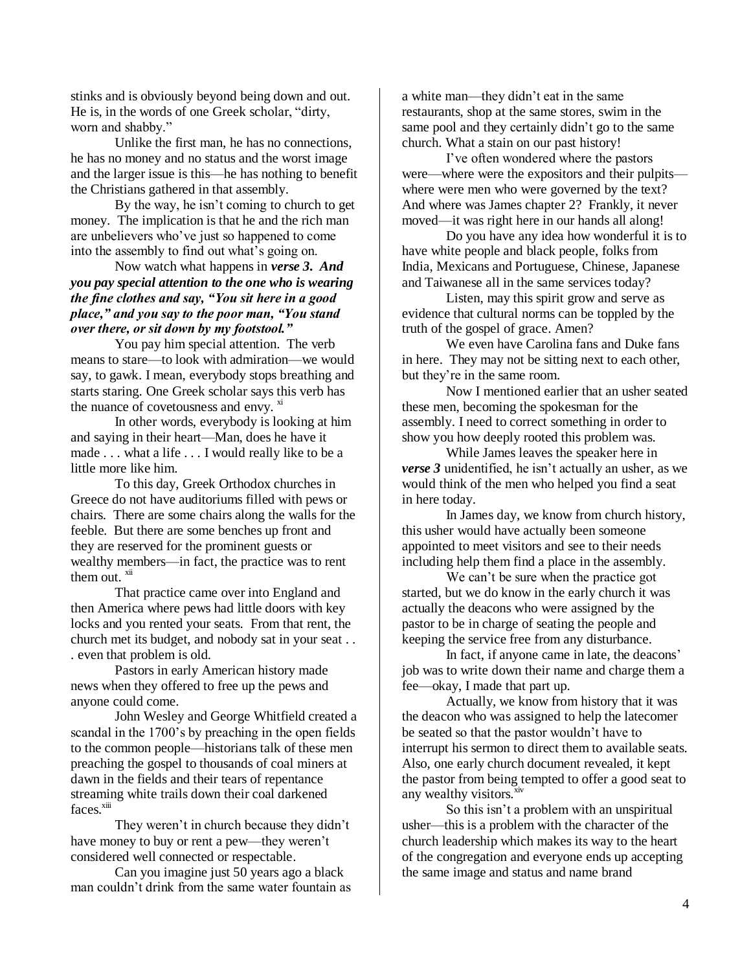stinks and is obviously beyond being down and out. He is, in the words of one Greek scholar, "dirty, worn and shabby."

Unlike the first man, he has no connections, he has no money and no status and the worst image and the larger issue is this—he has nothing to benefit the Christians gathered in that assembly.

By the way, he isn"t coming to church to get money. The implication is that he and the rich man are unbelievers who"ve just so happened to come into the assembly to find out what"s going on.

Now watch what happens in *verse 3. And you pay special attention to the one who is wearing the fine clothes and say, "You sit here in a good place," and you say to the poor man, "You stand over there, or sit down by my footstool."*

You pay him special attention. The verb means to stare—to look with admiration—we would say, to gawk. I mean, everybody stops breathing and starts staring. One Greek scholar says this verb has the nuance of covetousness and envy.  $\frac{X}{X}$ 

In other words, everybody is looking at him and saying in their heart—Man, does he have it made . . . what a life . . . I would really like to be a little more like him.

To this day, Greek Orthodox churches in Greece do not have auditoriums filled with pews or chairs. There are some chairs along the walls for the feeble. But there are some benches up front and they are reserved for the prominent guests or wealthy members—in fact, the practice was to rent them out. $\frac{X}{i}$ 

That practice came over into England and then America where pews had little doors with key locks and you rented your seats. From that rent, the church met its budget, and nobody sat in your seat . . . even that problem is old.

Pastors in early American history made news when they offered to free up the pews and anyone could come.

John Wesley and George Whitfield created a scandal in the 1700"s by preaching in the open fields to the common people—historians talk of these men preaching the gospel to thousands of coal miners at dawn in the fields and their tears of repentance streaming white trails down their coal darkened faces.<sup>xiii</sup>

They weren't in church because they didn't have money to buy or rent a pew—they weren't considered well connected or respectable.

Can you imagine just 50 years ago a black man couldn"t drink from the same water fountain as a white man—they didn"t eat in the same restaurants, shop at the same stores, swim in the same pool and they certainly didn't go to the same church. What a stain on our past history!

I've often wondered where the pastors were—where were the expositors and their pulpits where were men who were governed by the text? And where was James chapter 2? Frankly, it never moved—it was right here in our hands all along!

Do you have any idea how wonderful it is to have white people and black people, folks from India, Mexicans and Portuguese, Chinese, Japanese and Taiwanese all in the same services today?

Listen, may this spirit grow and serve as evidence that cultural norms can be toppled by the truth of the gospel of grace. Amen?

We even have Carolina fans and Duke fans in here. They may not be sitting next to each other, but they"re in the same room.

Now I mentioned earlier that an usher seated these men, becoming the spokesman for the assembly. I need to correct something in order to show you how deeply rooted this problem was.

While James leaves the speaker here in *verse 3* unidentified, he isn't actually an usher, as we would think of the men who helped you find a seat in here today.

In James day, we know from church history, this usher would have actually been someone appointed to meet visitors and see to their needs including help them find a place in the assembly.

We can't be sure when the practice got started, but we do know in the early church it was actually the deacons who were assigned by the pastor to be in charge of seating the people and keeping the service free from any disturbance.

In fact, if anyone came in late, the deacons' job was to write down their name and charge them a fee—okay, I made that part up.

Actually, we know from history that it was the deacon who was assigned to help the latecomer be seated so that the pastor wouldn"t have to interrupt his sermon to direct them to available seats. Also, one early church document revealed, it kept the pastor from being tempted to offer a good seat to any wealthy visitors.<sup>xiv</sup>

So this isn"t a problem with an unspiritual usher—this is a problem with the character of the church leadership which makes its way to the heart of the congregation and everyone ends up accepting the same image and status and name brand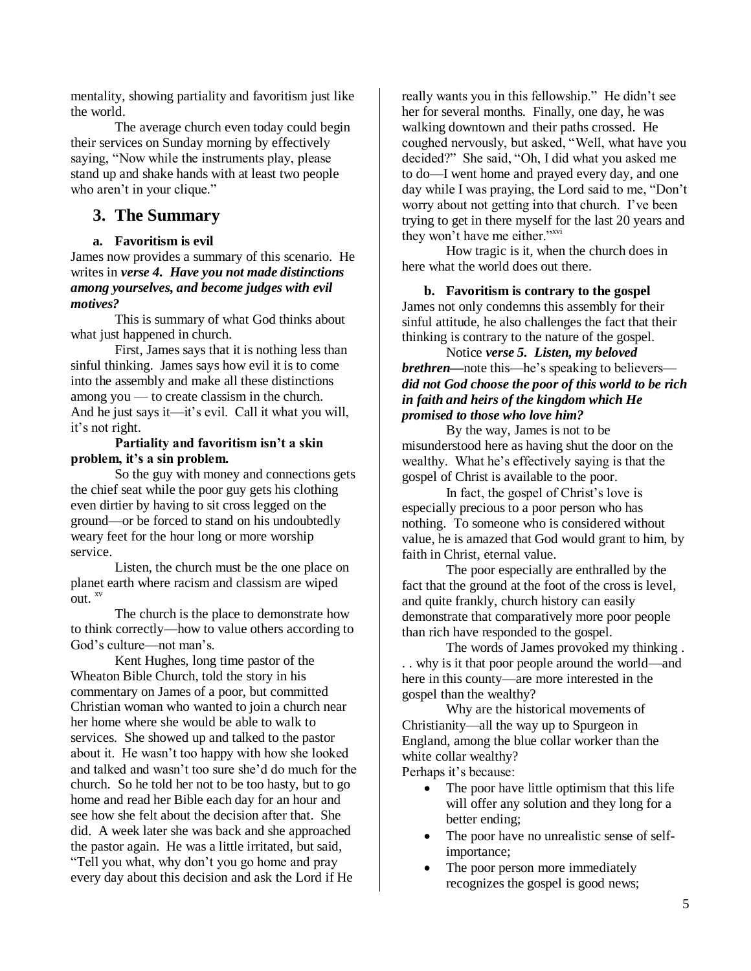mentality, showing partiality and favoritism just like the world.

The average church even today could begin their services on Sunday morning by effectively saying, "Now while the instruments play, please stand up and shake hands with at least two people who aren't in your clique."

# **3. The Summary**

## **a. Favoritism is evil**

James now provides a summary of this scenario. He writes in *verse 4. Have you not made distinctions among yourselves, and become judges with evil motives?*

This is summary of what God thinks about what just happened in church.

First, James says that it is nothing less than sinful thinking. James says how evil it is to come into the assembly and make all these distinctions among you — to create classism in the church. And he just says it—it's evil. Call it what you will, it"s not right.

#### **Partiality and favoritism isn't a skin problem, it's a sin problem.**

So the guy with money and connections gets the chief seat while the poor guy gets his clothing even dirtier by having to sit cross legged on the ground—or be forced to stand on his undoubtedly weary feet for the hour long or more worship service.

Listen, the church must be the one place on planet earth where racism and classism are wiped out.  $^{xy}$ 

 The church is the place to demonstrate how to think correctly—how to value others according to God's culture—not man's.

Kent Hughes, long time pastor of the Wheaton Bible Church, told the story in his commentary on James of a poor, but committed Christian woman who wanted to join a church near her home where she would be able to walk to services. She showed up and talked to the pastor about it. He wasn"t too happy with how she looked and talked and wasn"t too sure she"d do much for the church. So he told her not to be too hasty, but to go home and read her Bible each day for an hour and see how she felt about the decision after that. She did. A week later she was back and she approached the pastor again. He was a little irritated, but said, "Tell you what, why don"t you go home and pray every day about this decision and ask the Lord if He

really wants you in this fellowship." He didn"t see her for several months. Finally, one day, he was walking downtown and their paths crossed. He coughed nervously, but asked, "Well, what have you decided?" She said, "Oh, I did what you asked me to do—I went home and prayed every day, and one day while I was praying, the Lord said to me, "Don"t worry about not getting into that church. I"ve been trying to get in there myself for the last 20 years and they won't have me either."<sup>xvi</sup>

How tragic is it, when the church does in here what the world does out there.

**b. Favoritism is contrary to the gospel** James not only condemns this assembly for their sinful attitude, he also challenges the fact that their thinking is contrary to the nature of the gospel.

Notice *verse 5. Listen, my beloved brethren*—note this—he's speaking to believers *did not God choose the poor of this world to be rich in faith and heirs of the kingdom which He promised to those who love him?*

By the way, James is not to be misunderstood here as having shut the door on the wealthy. What he"s effectively saying is that the gospel of Christ is available to the poor.

In fact, the gospel of Christ"s love is especially precious to a poor person who has nothing. To someone who is considered without value, he is amazed that God would grant to him, by faith in Christ, eternal value.

The poor especially are enthralled by the fact that the ground at the foot of the cross is level, and quite frankly, church history can easily demonstrate that comparatively more poor people than rich have responded to the gospel.

The words of James provoked my thinking . . . why is it that poor people around the world—and here in this county—are more interested in the gospel than the wealthy?

Why are the historical movements of Christianity—all the way up to Spurgeon in England, among the blue collar worker than the white collar wealthy?

Perhaps it's because:

- The poor have little optimism that this life will offer any solution and they long for a better ending;
- The poor have no unrealistic sense of selfimportance;
- The poor person more immediately recognizes the gospel is good news;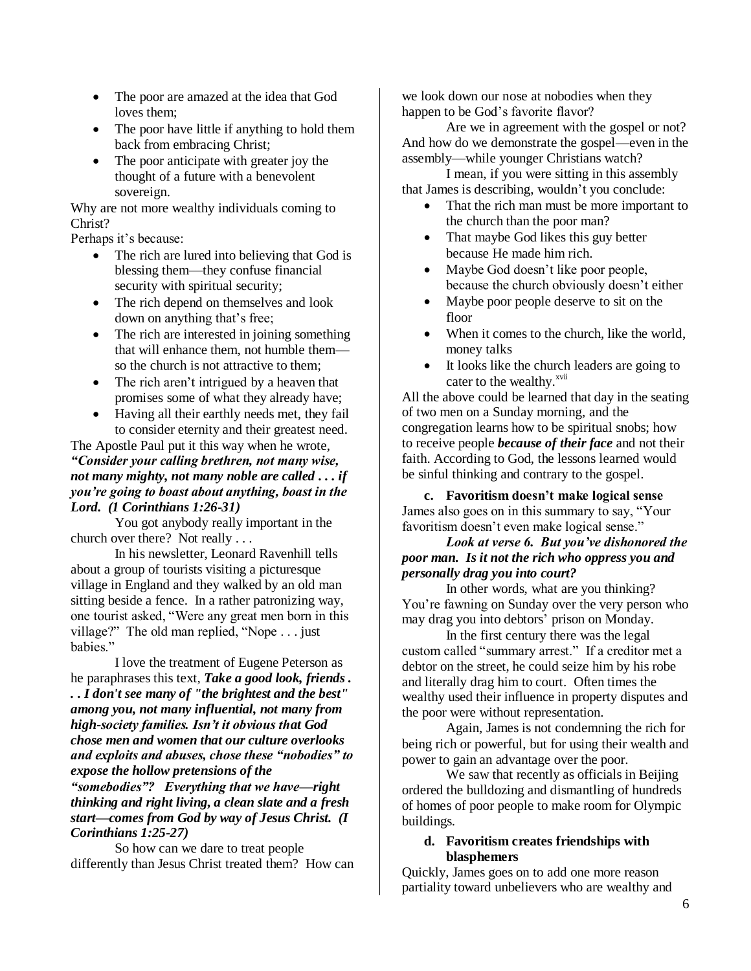- The poor are amazed at the idea that God loves them;
- The poor have little if anything to hold them back from embracing Christ;
- The poor anticipate with greater joy the thought of a future with a benevolent sovereign.

Why are not more wealthy individuals coming to Christ?

Perhaps it's because:

- The rich are lured into believing that God is blessing them—they confuse financial security with spiritual security;
- The rich depend on themselves and look down on anything that's free;
- The rich are interested in joining something that will enhance them, not humble them so the church is not attractive to them;
- The rich aren't intrigued by a heaven that promises some of what they already have;
- Having all their earthly needs met, they fail to consider eternity and their greatest need.

# The Apostle Paul put it this way when he wrote, *"Consider your calling brethren, not many wise, not many mighty, not many noble are called . . . if you're going to boast about anything, boast in the Lord. (1 Corinthians 1:26-31)*

You got anybody really important in the church over there? Not really . . .

In his newsletter, Leonard Ravenhill tells about a group of tourists visiting a picturesque village in England and they walked by an old man sitting beside a fence. In a rather patronizing way, one tourist asked, "Were any great men born in this village?" The old man replied, "Nope . . . just babies."

I love the treatment of Eugene Peterson as he paraphrases this text, *Take a good look, friends . . . I don't see many of "the brightest and the best" among you, not many influential, not many from high-society families. Isn't it obvious that God chose men and women that our culture overlooks and exploits and abuses, chose these "nobodies" to expose the hollow pretensions of the "somebodies"? Everything that we have—right thinking and right living, a clean slate and a fresh start—comes from God by way of Jesus Christ. (I Corinthians 1:25-27)* 

So how can we dare to treat people differently than Jesus Christ treated them? How can we look down our nose at nobodies when they happen to be God's favorite flavor?

Are we in agreement with the gospel or not? And how do we demonstrate the gospel—even in the assembly—while younger Christians watch?

I mean, if you were sitting in this assembly that James is describing, wouldn"t you conclude:

- That the rich man must be more important to the church than the poor man?
- That maybe God likes this guy better because He made him rich.
- Maybe God doesn"t like poor people, because the church obviously doesn"t either
- Maybe poor people deserve to sit on the floor
- When it comes to the church, like the world, money talks
- It looks like the church leaders are going to cater to the wealthy.<sup>xvii</sup>

All the above could be learned that day in the seating of two men on a Sunday morning, and the congregation learns how to be spiritual snobs; how to receive people *because of their face* and not their faith. According to God, the lessons learned would be sinful thinking and contrary to the gospel.

**c. Favoritism doesn't make logical sense** James also goes on in this summary to say, "Your favoritism doesn"t even make logical sense."

# *Look at verse 6. But you've dishonored the poor man. Is it not the rich who oppress you and personally drag you into court?*

In other words, what are you thinking? You"re fawning on Sunday over the very person who may drag you into debtors" prison on Monday.

In the first century there was the legal custom called "summary arrest." If a creditor met a debtor on the street, he could seize him by his robe and literally drag him to court. Often times the wealthy used their influence in property disputes and the poor were without representation.

Again, James is not condemning the rich for being rich or powerful, but for using their wealth and power to gain an advantage over the poor.

We saw that recently as officials in Beijing ordered the bulldozing and dismantling of hundreds of homes of poor people to make room for Olympic buildings.

## **d. Favoritism creates friendships with blasphemers**

Quickly, James goes on to add one more reason partiality toward unbelievers who are wealthy and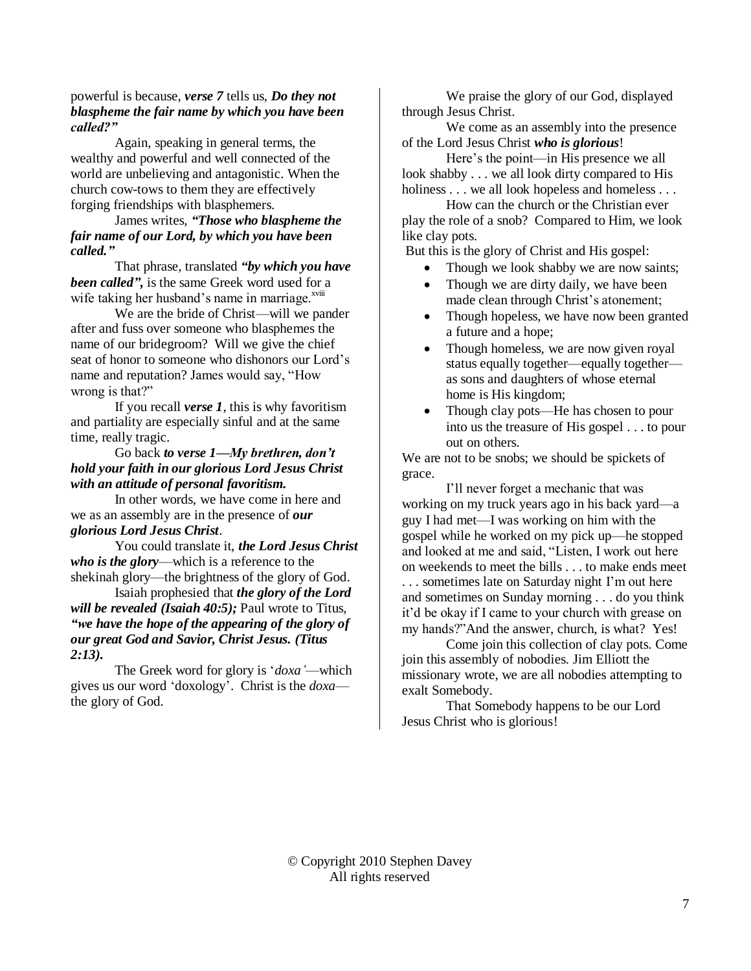#### powerful is because, *verse 7* tells us, *Do they not blaspheme the fair name by which you have been called?"*

Again, speaking in general terms, the wealthy and powerful and well connected of the world are unbelieving and antagonistic. When the church cow-tows to them they are effectively forging friendships with blasphemers.

# James writes, *"Those who blaspheme the fair name of our Lord, by which you have been called."*

That phrase, translated *"by which you have been called",* is the same Greek word used for a wife taking her husband's name in marriage. $x^{x^{x}}$ 

We are the bride of Christ—will we pander after and fuss over someone who blasphemes the name of our bridegroom? Will we give the chief seat of honor to someone who dishonors our Lord"s name and reputation? James would say, "How wrong is that?"

If you recall *verse 1*, this is why favoritism and partiality are especially sinful and at the same time, really tragic.

# Go back *to verse 1—My brethren, don't hold your faith in our glorious Lord Jesus Christ with an attitude of personal favoritism.*

In other words, we have come in here and we as an assembly are in the presence of *our glorious Lord Jesus Christ*.

You could translate it, *the Lord Jesus Christ who is the glory*—which is a reference to the shekinah glory—the brightness of the glory of God.

Isaiah prophesied that *the glory of the Lord will be revealed (Isaiah 40:5);* Paul wrote to Titus, *"we have the hope of the appearing of the glory of our great God and Savior, Christ Jesus. (Titus 2:13).*

The Greek word for glory is "*doxa'*—which gives us our word "doxology". Christ is the *doxa* the glory of God.

We praise the glory of our God, displayed through Jesus Christ.

We come as an assembly into the presence of the Lord Jesus Christ *who is glorious*!

Here"s the point—in His presence we all look shabby . . . we all look dirty compared to His holiness . . . we all look hopeless and homeless . . .

How can the church or the Christian ever play the role of a snob? Compared to Him, we look like clay pots.

But this is the glory of Christ and His gospel:

- Though we look shabby we are now saints;
- Though we are dirty daily, we have been made clean through Christ's atonement;
- Though hopeless, we have now been granted a future and a hope;
- Though homeless, we are now given royal status equally together—equally together as sons and daughters of whose eternal home is His kingdom;
- Though clay pots—He has chosen to pour into us the treasure of His gospel . . . to pour out on others.

We are not to be snobs; we should be spickets of grace.

I"ll never forget a mechanic that was working on my truck years ago in his back yard—a guy I had met—I was working on him with the gospel while he worked on my pick up—he stopped and looked at me and said, "Listen, I work out here on weekends to meet the bills . . . to make ends meet . . . sometimes late on Saturday night I"m out here and sometimes on Sunday morning . . . do you think it"d be okay if I came to your church with grease on

my hands?"And the answer, church, is what? Yes! Come join this collection of clay pots. Come join this assembly of nobodies. Jim Elliott the missionary wrote, we are all nobodies attempting to exalt Somebody.

That Somebody happens to be our Lord Jesus Christ who is glorious!

© Copyright 2010 Stephen Davey All rights reserved